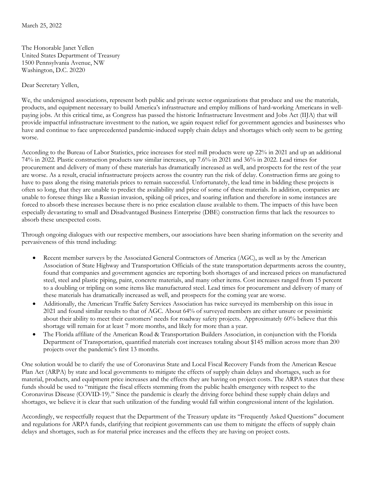The Honorable Janet Yellen United States Department of Treasury 1500 Pennsylvania Avenue, NW Washington, D.C. 20220

Dear Secretary Yellen,

We, the undersigned associations, represent both public and private sector organizations that produce and use the materials, products, and equipment necessary to build America's infrastructure and employ millions of hard-working Americans in wellpaying jobs. At this critical time, as Congress has passed the historic Infrastructure Investment and Jobs Act (IIJA) that will provide impactful infrastructure investment to the nation, we again request relief for government agencies and businesses who have and continue to face unprecedented pandemic-induced supply chain delays and shortages which only seem to be getting worse.

According to the Bureau of Labor Statistics, price increases for steel mill products were up 22% in 2021 and up an additional 74% in 2022. Plastic construction products saw similar increases, up 7.6% in 2021 and 36% in 2022. Lead times for procurement and delivery of many of these materials has dramatically increased as well, and prospects for the rest of the year are worse. As a result, crucial infrastructure projects across the country run the risk of delay. Construction firms are going to have to pass along the rising materials prices to remain successful. Unfortunately, the lead time in bidding these projects is often so long, that they are unable to predict the availability and price of some of these materials. In addition, companies are unable to foresee things like a Russian invasion, spiking oil prices, and soaring inflation and therefore in some instances are forced to absorb these increases because there is no price escalation clause available to them. The impacts of this have been especially devastating to small and Disadvantaged Business Enterprise (DBE) construction firms that lack the resources to absorb these unexpected costs.

Through ongoing dialogues with our respective members, our associations have been sharing information on the severity and pervasiveness of this trend including:

- Recent member surveys by the Associated General Contractors of America (AGC), as well as by the American Association of State Highway and Transportation Officials of the state transportation departments across the country, found that companies and government agencies are reporting both shortages of and increased prices on manufactured steel, steel and plastic piping, paint, concrete materials, and many other items. Cost increases ranged from 15 percent to a doubling or tripling on some items like manufactured steel. Lead times for procurement and delivery of many of these materials has dramatically increased as well, and prospects for the coming year are worse.
- Additionally, the American Traffic Safety Services Association has twice surveyed its membership on this issue in 2021 and found similar results to that of AGC. About 64% of surveyed members are either unsure or pessimistic about their ability to meet their customers' needs for roadway safety projects. Approximately 60% believe that this shortage will remain for at least 7 more months, and likely for more than a year.
- The Florida affiliate of the American Road & Transportation Builders Association, in conjunction with the Florida Department of Transportation, quantified materials cost increases totaling about \$145 million across more than 200 projects over the pandemic's first 13 months.

One solution would be to clarify the use of Coronavirus State and Local Fiscal Recovery Funds from the American Rescue Plan Act (ARPA) by state and local governments to mitigate the effects of supply chain delays and shortages, such as for material, products, and equipment price increases and the effects they are having on project costs. The ARPA states that these funds should be used to "mitigate the fiscal effects stemming from the public health emergency with respect to the Coronavirus Disease (COVID-19)." Since the pandemic is clearly the driving force behind these supply chain delays and shortages, we believe it is clear that such utilization of the funding would fall within congressional intent of the legislation.

Accordingly, we respectfully request that the Department of the Treasury update its "Frequently Asked Questions" document and regulations for ARPA funds, clarifying that recipient governments can use them to mitigate the effects of supply chain delays and shortages, such as for material price increases and the effects they are having on project costs.